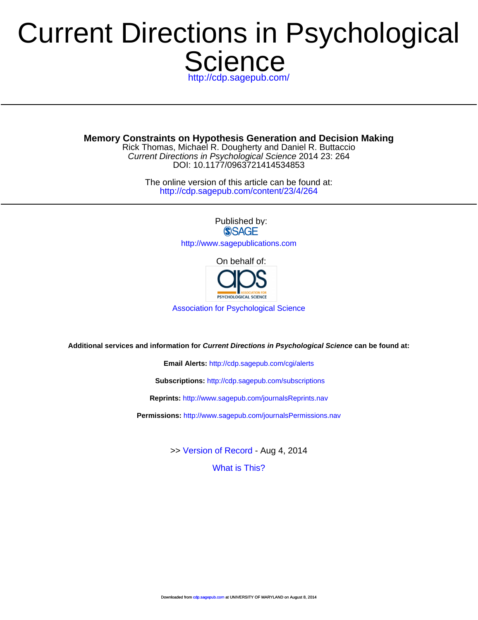# **Science** p://cdp.sagepub.com/ Current Directions in Psychological

**Memory Constraints on Hypothesis Generation and Decision Making**

DOI: 10.1177/0963721414534853 Current Directions in Psychological Science 2014 23: 264 Rick Thomas, Michael R. Dougherty and Daniel R. Buttaccio

<http://cdp.sagepub.com/content/23/4/264> The online version of this article can be found at:

> Published by:<br>
> SAGE <http://www.sagepublications.com>

On behalf of:



[Association for Psychological Science](http://www.psychologicalscience.org/)

**Additional services and information for Current Directions in Psychological Science can be found at:**

**Email Alerts:** <http://cdp.sagepub.com/cgi/alerts>

**Subscriptions:** <http://cdp.sagepub.com/subscriptions>

**Reprints:** <http://www.sagepub.com/journalsReprints.nav>

**Permissions:** <http://www.sagepub.com/journalsPermissions.nav>

>> [Version of Record -](http://cdp.sagepub.com/content/23/4/264.full.pdf) Aug 4, 2014

[What is This?](http://online.sagepub.com/site/sphelp/vorhelp.xhtml)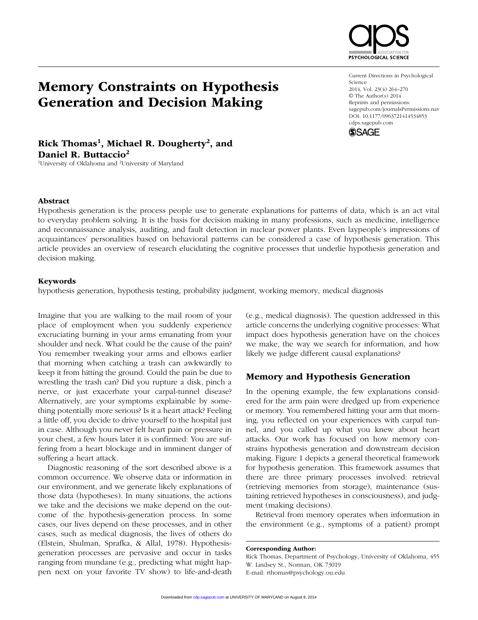# Memory Constraints on Hypothesis Generation and Decision Making

Rick Thomas<sup>1</sup>, Michael R. Dougherty<sup>2</sup>, and Daniel R. Buttaccio<sup>2</sup>

<sup>1</sup>University of Oklahoma and <sup>2</sup>University of Maryland

#### Abstract

Hypothesis generation is the process people use to generate explanations for patterns of data, which is an act vital to everyday problem solving. It is the basis for decision making in many professions, such as medicine, intelligence and reconnaissance analysis, auditing, and fault detection in nuclear power plants. Even laypeople's impressions of acquaintances' personalities based on behavioral patterns can be considered a case of hypothesis generation. This article provides an overview of research elucidating the cognitive processes that underlie hypothesis generation and decision making.

#### Keywords

hypothesis generation, hypothesis testing, probability judgment, working memory, medical diagnosis

Imagine that you are walking to the mail room of your place of employment when you suddenly experience excruciating burning in your arms emanating from your shoulder and neck. What could be the cause of the pain? You remember tweaking your arms and elbows earlier that morning when catching a trash can awkwardly to keep it from hitting the ground. Could the pain be due to wrestling the trash can? Did you rupture a disk, pinch a nerve, or just exacerbate your carpal-tunnel disease? Alternatively, are your symptoms explainable by something potentially more serious? Is it a heart attack? Feeling a little off, you decide to drive yourself to the hospital just in case. Although you never felt heart pain or pressure in your chest, a few hours later it is confirmed: You are suffering from a heart blockage and in imminent danger of suffering a heart attack.

Diagnostic reasoning of the sort described above is a common occurrence. We observe data or information in our environment, and we generate likely explanations of those data (hypotheses). In many situations, the actions we take and the decisions we make depend on the outcome of the hypothesis-generation process. In some cases, our lives depend on these processes, and in other cases, such as medical diagnosis, the lives of others do (Elstein, Shulman, Sprafka, & Allal, 1978). Hypothesisgeneration processes are pervasive and occur in tasks ranging from mundane (e.g., predicting what might happen next on your favorite TV show) to life-and-death

(e.g., medical diagnosis). The question addressed in this article concerns the underlying cognitive processes: What impact does hypothesis generation have on the choices we make, the way we search for information, and how likely we judge different causal explanations?

### Memory and Hypothesis Generation

In the opening example, the few explanations considered for the arm pain were dredged up from experience or memory. You remembered hitting your arm that morning, you reflected on your experiences with carpal tunnel, and you called up what you knew about heart attacks. Our work has focused on how memory constrains hypothesis generation and downstream decision making. Figure 1 depicts a general theoretical framework for hypothesis generation. This framework assumes that there are three primary processes involved: retrieval (retrieving memories from storage), maintenance (sustaining retrieved hypotheses in consciousness), and judgment (making decisions).

Retrieval from memory operates when information in the environment (e.g., symptoms of a patient) prompt

Corresponding Author:

Rick Thomas, Department of Psychology, University of Oklahoma, 455 W. Lindsey St., Norman, OK 73019

E-mail: rthomas@psychology.ou.edu



Current Directions in Psychological Science 2014, Vol. 23(4) 264–270 © The Author(s) 2014 Reprints and permissions: sagepub.com/journalsPermissions.nav DOI: 10.1177/0963721414534853 cdps.sagepub.com

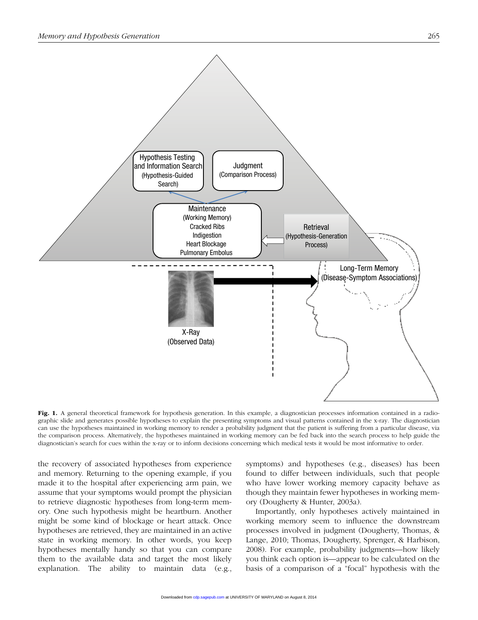

Fig. 1. A general theoretical framework for hypothesis generation. In this example, a diagnostician processes information contained in a radiographic slide and generates possible hypotheses to explain the presenting symptoms and visual patterns contained in the x-ray. The diagnostician can use the hypotheses maintained in working memory to render a probability judgment that the patient is suffering from a particular disease, via the comparison process. Alternatively, the hypotheses maintained in working memory can be fed back into the search process to help guide the diagnostician's search for cues within the x-ray or to inform decisions concerning which medical tests it would be most informative to order.

the recovery of associated hypotheses from experience and memory. Returning to the opening example, if you made it to the hospital after experiencing arm pain, we assume that your symptoms would prompt the physician to retrieve diagnostic hypotheses from long-term memory. One such hypothesis might be heartburn. Another might be some kind of blockage or heart attack. Once hypotheses are retrieved, they are maintained in an active state in working memory. In other words, you keep hypotheses mentally handy so that you can compare them to the available data and target the most likely explanation. The ability to maintain data (e.g., symptoms) and hypotheses (e.g., diseases) has been found to differ between individuals, such that people who have lower working memory capacity behave as though they maintain fewer hypotheses in working memory (Dougherty & Hunter, 2003a).

Importantly, only hypotheses actively maintained in working memory seem to influence the downstream processes involved in judgment (Dougherty, Thomas, & Lange, 2010; Thomas, Dougherty, Sprenger, & Harbison, 2008). For example, probability judgments—how likely you think each option is—appear to be calculated on the basis of a comparison of a "focal" hypothesis with the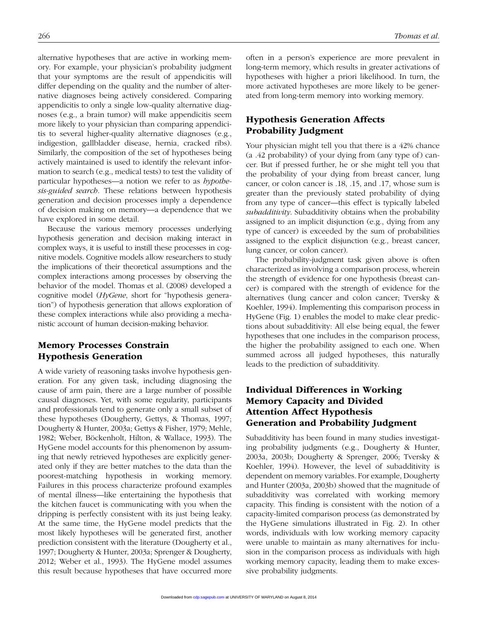alternative hypotheses that are active in working memory. For example, your physician's probability judgment that your symptoms are the result of appendicitis will differ depending on the quality and the number of alternative diagnoses being actively considered. Comparing appendicitis to only a single low-quality alternative diagnoses (e.g., a brain tumor) will make appendicitis seem more likely to your physician than comparing appendicitis to several higher-quality alternative diagnoses (e.g., indigestion, gallbladder disease, hernia, cracked ribs). Similarly, the composition of the set of hypotheses being actively maintained is used to identify the relevant information to search (e.g., medical tests) to test the validity of particular hypotheses—a notion we refer to as *hypothesis-guided search*. These relations between hypothesis generation and decision processes imply a dependence of decision making on memory—a dependence that we have explored in some detail.

Because the various memory processes underlying hypothesis generation and decision making interact in complex ways, it is useful to instill these processes in cognitive models. Cognitive models allow researchers to study the implications of their theoretical assumptions and the complex interactions among processes by observing the behavior of the model. Thomas et al. (2008) developed a cognitive model (*HyGene*, short for "hypothesis generation") of hypothesis generation that allows exploration of these complex interactions while also providing a mechanistic account of human decision-making behavior.

# Memory Processes Constrain Hypothesis Generation

A wide variety of reasoning tasks involve hypothesis generation. For any given task, including diagnosing the cause of arm pain, there are a large number of possible causal diagnoses. Yet, with some regularity, participants and professionals tend to generate only a small subset of these hypotheses (Dougherty, Gettys, & Thomas, 1997; Dougherty & Hunter, 2003a; Gettys & Fisher, 1979; Mehle, 1982; Weber, Böckenholt, Hilton, & Wallace, 1993). The HyGene model accounts for this phenomenon by assuming that newly retrieved hypotheses are explicitly generated only if they are better matches to the data than the poorest-matching hypothesis in working memory. Failures in this process characterize profound examples of mental illness—like entertaining the hypothesis that the kitchen faucet is communicating with you when the dripping is perfectly consistent with its just being leaky. At the same time, the HyGene model predicts that the most likely hypotheses will be generated first, another prediction consistent with the literature (Dougherty et al., 1997; Dougherty & Hunter, 2003a; Sprenger & Dougherty, 2012; Weber et al., 1993). The HyGene model assumes this result because hypotheses that have occurred more

often in a person's experience are more prevalent in long-term memory, which results in greater activations of hypotheses with higher a priori likelihood. In turn, the more activated hypotheses are more likely to be generated from long-term memory into working memory.

# Hypothesis Generation Affects Probability Judgment

Your physician might tell you that there is a 42% chance (a .42 probability) of your dying from (any type of) cancer. But if pressed further, he or she might tell you that the probability of your dying from breast cancer, lung cancer, or colon cancer is .18, .15, and .17, whose sum is greater than the previously stated probability of dying from any type of cancer—this effect is typically labeled *subadditivity*. Subadditivity obtains when the probability assigned to an implicit disjunction (e.g., dying from any type of cancer) is exceeded by the sum of probabilities assigned to the explicit disjunction (e.g., breast cancer, lung cancer, or colon cancer).

The probability-judgment task given above is often characterized as involving a comparison process, wherein the strength of evidence for one hypothesis (breast cancer) is compared with the strength of evidence for the alternatives (lung cancer and colon cancer; Tversky & Koehler, 1994). Implementing this comparison process in HyGene (Fig. 1) enables the model to make clear predictions about subadditivity: All else being equal, the fewer hypotheses that one includes in the comparison process, the higher the probability assigned to each one. When summed across all judged hypotheses, this naturally leads to the prediction of subadditivity.

# Individual Differences in Working Memory Capacity and Divided Attention Affect Hypothesis Generation and Probability Judgment

Subadditivity has been found in many studies investigating probability judgments (e.g., Dougherty & Hunter, 2003a, 2003b; Dougherty & Sprenger, 2006; Tversky & Koehler, 1994). However, the level of subadditivity is dependent on memory variables. For example, Dougherty and Hunter (2003a, 2003b) showed that the magnitude of subadditivity was correlated with working memory capacity. This finding is consistent with the notion of a capacity-limited comparison process (as demonstrated by the HyGene simulations illustrated in Fig. 2). In other words, individuals with low working memory capacity were unable to maintain as many alternatives for inclusion in the comparison process as individuals with high working memory capacity, leading them to make excessive probability judgments.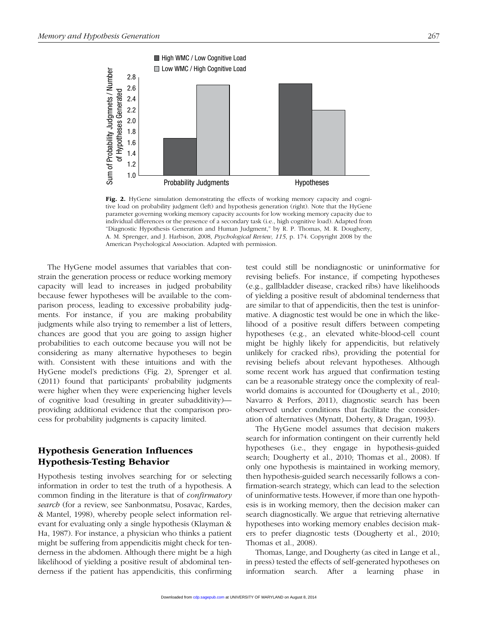

Fig. 2. HyGene simulation demonstrating the effects of working memory capacity and cognitive load on probability judgment (left) and hypothesis generation (right). Note that the HyGene parameter governing working memory capacity accounts for low working memory capacity due to individual differences or the presence of a secondary task (i.e., high cognitive load). Adapted from "Diagnostic Hypothesis Generation and Human Judgment," by R. P. Thomas, M. R. Dougherty, A. M. Sprenger, and J. Harbison, 2008, *Psychological Review, 115*, p. 174. Copyright 2008 by the American Psychological Association. Adapted with permission.

The HyGene model assumes that variables that constrain the generation process or reduce working memory capacity will lead to increases in judged probability because fewer hypotheses will be available to the comparison process, leading to excessive probability judgments. For instance, if you are making probability judgments while also trying to remember a list of letters, chances are good that you are going to assign higher probabilities to each outcome because you will not be considering as many alternative hypotheses to begin with. Consistent with these intuitions and with the HyGene model's predictions (Fig. 2), Sprenger et al. (2011) found that participants' probability judgments were higher when they were experiencing higher levels of cognitive load (resulting in greater subadditivity) providing additional evidence that the comparison process for probability judgments is capacity limited.

# Hypothesis Generation Influences Hypothesis-Testing Behavior

Hypothesis testing involves searching for or selecting information in order to test the truth of a hypothesis. A common finding in the literature is that of *confirmatory search* (for a review, see Sanbonmatsu, Posavac, Kardes, & Mantel, 1998), whereby people select information relevant for evaluating only a single hypothesis (Klayman & Ha, 1987). For instance, a physician who thinks a patient might be suffering from appendicitis might check for tenderness in the abdomen. Although there might be a high likelihood of yielding a positive result of abdominal tenderness if the patient has appendicitis, this confirming test could still be nondiagnostic or uninformative for revising beliefs. For instance, if competing hypotheses (e.g., gallbladder disease, cracked ribs) have likelihoods of yielding a positive result of abdominal tenderness that are similar to that of appendicitis, then the test is uninformative. A diagnostic test would be one in which the likelihood of a positive result differs between competing hypotheses (e.g., an elevated white-blood-cell count might be highly likely for appendicitis, but relatively unlikely for cracked ribs), providing the potential for revising beliefs about relevant hypotheses. Although some recent work has argued that confirmation testing can be a reasonable strategy once the complexity of realworld domains is accounted for (Dougherty et al., 2010; Navarro & Perfors, 2011), diagnostic search has been observed under conditions that facilitate the consideration of alternatives (Mynatt, Doherty, & Dragan, 1993).

The HyGene model assumes that decision makers search for information contingent on their currently held hypotheses (i.e., they engage in hypothesis-guided search; Dougherty et al., 2010; Thomas et al., 2008). If only one hypothesis is maintained in working memory, then hypothesis-guided search necessarily follows a confirmation-search strategy, which can lead to the selection of uninformative tests. However, if more than one hypothesis is in working memory, then the decision maker can search diagnostically. We argue that retrieving alternative hypotheses into working memory enables decision makers to prefer diagnostic tests (Dougherty et al., 2010; Thomas et al., 2008).

Thomas, Lange, and Dougherty (as cited in Lange et al., in press) tested the effects of self-generated hypotheses on information search. After a learning phase in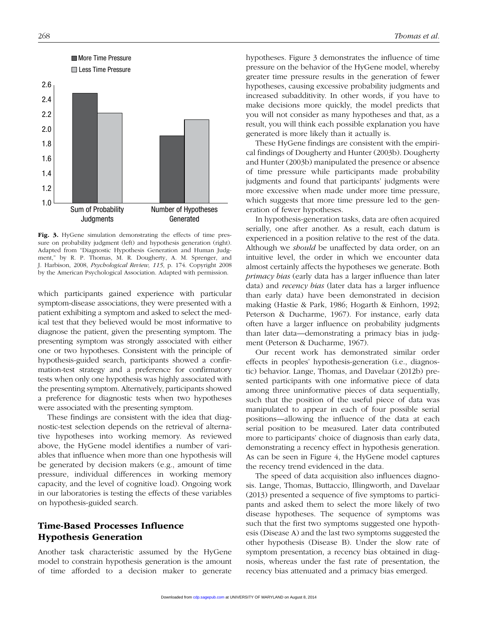

Fig. 3. HyGene simulation demonstrating the effects of time pressure on probability judgment (left) and hypothesis generation (right). Adapted from "Diagnostic Hypothesis Generation and Human Judgment," by R. P. Thomas, M. R. Dougherty, A. M. Sprenger, and J. Harbison, 2008, *Psychological Review, 115*, p. 174. Copyright 2008 by the American Psychological Association. Adapted with permission.

which participants gained experience with particular symptom-disease associations, they were presented with a patient exhibiting a symptom and asked to select the medical test that they believed would be most informative to diagnose the patient, given the presenting symptom. The presenting symptom was strongly associated with either one or two hypotheses. Consistent with the principle of hypothesis-guided search, participants showed a confirmation-test strategy and a preference for confirmatory tests when only one hypothesis was highly associated with the presenting symptom. Alternatively, participants showed a preference for diagnostic tests when two hypotheses were associated with the presenting symptom.

These findings are consistent with the idea that diagnostic-test selection depends on the retrieval of alternative hypotheses into working memory. As reviewed above, the HyGene model identifies a number of variables that influence when more than one hypothesis will be generated by decision makers (e.g., amount of time pressure, individual differences in working memory capacity, and the level of cognitive load). Ongoing work in our laboratories is testing the effects of these variables on hypothesis-guided search.

# Time-Based Processes Influence Hypothesis Generation

Another task characteristic assumed by the HyGene model to constrain hypothesis generation is the amount of time afforded to a decision maker to generate hypotheses. Figure 3 demonstrates the influence of time pressure on the behavior of the HyGene model, whereby greater time pressure results in the generation of fewer hypotheses, causing excessive probability judgments and increased subadditivity. In other words, if you have to make decisions more quickly, the model predicts that you will not consider as many hypotheses and that, as a result, you will think each possible explanation you have generated is more likely than it actually is.

These HyGene findings are consistent with the empirical findings of Dougherty and Hunter (2003b). Dougherty and Hunter (2003b) manipulated the presence or absence of time pressure while participants made probability judgments and found that participants' judgments were more excessive when made under more time pressure, which suggests that more time pressure led to the generation of fewer hypotheses.

In hypothesis-generation tasks, data are often acquired serially, one after another. As a result, each datum is experienced in a position relative to the rest of the data. Although we *should* be unaffected by data order, on an intuitive level, the order in which we encounter data almost certainly affects the hypotheses we generate. Both *primacy bias* (early data has a larger influence than later data) and *recency bias* (later data has a larger influence than early data) have been demonstrated in decision making (Hastie & Park, 1986; Hogarth & Einhorn, 1992; Peterson & Ducharme, 1967). For instance, early data often have a larger influence on probability judgments than later data—demonstrating a primacy bias in judgment (Peterson & Ducharme, 1967).

Our recent work has demonstrated similar order effects in peoples' hypothesis-generation (i.e., diagnostic) behavior. Lange, Thomas, and Davelaar (2012b) presented participants with one informative piece of data among three uninformative pieces of data sequentially, such that the position of the useful piece of data was manipulated to appear in each of four possible serial positions—allowing the influence of the data at each serial position to be measured. Later data contributed more to participants' choice of diagnosis than early data, demonstrating a recency effect in hypothesis generation. As can be seen in Figure 4, the HyGene model captures the recency trend evidenced in the data.

The speed of data acquisition also influences diagnosis. Lange, Thomas, Buttaccio, Illingworth, and Davelaar (2013) presented a sequence of five symptoms to participants and asked them to select the more likely of two disease hypotheses. The sequence of symptoms was such that the first two symptoms suggested one hypothesis (Disease A) and the last two symptoms suggested the other hypothesis (Disease B). Under the slow rate of symptom presentation, a recency bias obtained in diagnosis, whereas under the fast rate of presentation, the recency bias attenuated and a primacy bias emerged.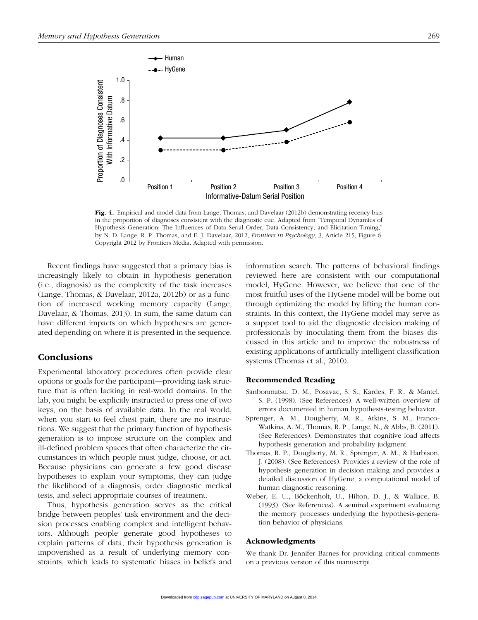

Fig. 4. Empirical and model data from Lange, Thomas, and Davelaar (2012b) demonstrating recency bias in the proportion of diagnoses consistent with the diagnostic cue. Adapted from "Temporal Dynamics of Hypothesis Generation: The Influences of Data Serial Order, Data Consistency, and Elicitation Timing," by N. D. Lange, R. P. Thomas, and E. J. Davelaar, 2012, *Frontiers in Psychology*, 3, Article 215, Figure 6. Copyright 2012 by Frontiers Media. Adapted with permission.

Recent findings have suggested that a primacy bias is increasingly likely to obtain in hypothesis generation (i.e., diagnosis) as the complexity of the task increases (Lange, Thomas, & Davelaar, 2012a, 2012b) or as a function of increased working memory capacity (Lange, Davelaar, & Thomas, 2013). In sum, the same datum can have different impacts on which hypotheses are generated depending on where it is presented in the sequence.

## Conclusions

Experimental laboratory procedures often provide clear options or goals for the participant—providing task structure that is often lacking in real-world domains. In the lab, you might be explicitly instructed to press one of two keys, on the basis of available data. In the real world, when you start to feel chest pain, there are no instructions. We suggest that the primary function of hypothesis generation is to impose structure on the complex and ill-defined problem spaces that often characterize the circumstances in which people must judge, choose, or act. Because physicians can generate a few good disease hypotheses to explain your symptoms, they can judge the likelihood of a diagnosis, order diagnostic medical tests, and select appropriate courses of treatment.

Thus, hypothesis generation serves as the critical bridge between peoples' task environment and the decision processes enabling complex and intelligent behaviors. Although people generate good hypotheses to explain patterns of data, their hypothesis generation is impoverished as a result of underlying memory constraints, which leads to systematic biases in beliefs and information search. The patterns of behavioral findings reviewed here are consistent with our computational model, HyGene. However, we believe that one of the most fruitful uses of the HyGene model will be borne out through optimizing the model by lifting the human constraints. In this context, the HyGene model may serve as a support tool to aid the diagnostic decision making of professionals by inoculating them from the biases discussed in this article and to improve the robustness of existing applications of artificially intelligent classification systems (Thomas et al., 2010).

#### Recommended Reading

- Sanbonmatsu, D. M., Posavac, S. S., Kardes, F. R., & Mantel, S. P. (1998). (See References). A well-written overview of errors documented in human hypothesis-testing behavior.
- Sprenger, A. M., Dougherty, M. R., Atkins, S. M., Franco-Watkins, A. M., Thomas, R. P., Lange, N., & Abbs, B. (2011). (See References). Demonstrates that cognitive load affects hypothesis generation and probability judgment.
- Thomas, R. P., Dougherty, M. R., Sprenger, A. M., & Harbison, J. (2008). (See References). Provides a review of the role of hypothesis generation in decision making and provides a detailed discussion of HyGene, a computational model of human diagnostic reasoning.
- Weber, E. U., Böckenholt, U., Hilton, D. J., & Wallace, B. (1993). (See References). A seminal experiment evaluating the memory processes underlying the hypothesis-generation behavior of physicians.

#### Acknowledgments

We thank Dr. Jennifer Barnes for providing critical comments on a previous version of this manuscript.